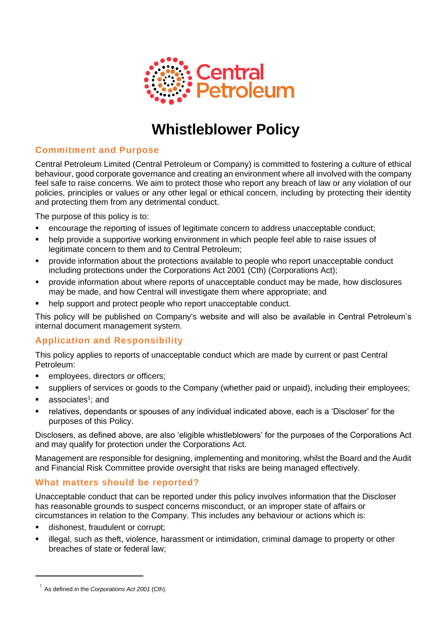

# **Whistleblower Policy**

# **Commitment and Purpose**

Central Petroleum Limited (Central Petroleum or Company) is committed to fostering a culture of ethical behaviour, good corporate governance and creating an environment where all involved with the company feel safe to raise concerns. We aim to protect those who report any breach of law or any violation of our policies, principles or values or any other legal or ethical concern, including by protecting their identity and protecting them from any detrimental conduct.

The purpose of this policy is to:

- encourage the reporting of issues of legitimate concern to address unacceptable conduct;
- help provide a supportive working environment in which people feel able to raise issues of legitimate concern to them and to Central Petroleum;
- provide information about the protections available to people who report unacceptable conduct including protections under the Corporations Act 2001 (Cth) (Corporations Act);
- provide information about where reports of unacceptable conduct may be made, how disclosures may be made, and how Central will investigate them where appropriate; and
- help support and protect people who report unacceptable conduct.

This policy will be published on Company's website and will also be available in Central Petroleum's internal document management system.

# **Application and Responsibility**

This policy applies to reports of unacceptable conduct which are made by current or past Central Petroleum:

- employees, directors or officers;
- suppliers of services or goods to the Company (whether paid or unpaid), including their employees;
- associates<sup>1</sup>; and
- relatives, dependants or spouses of any individual indicated above, each is a 'Discloser' for the purposes of this Policy.

Disclosers, as defined above, are also 'eligible whistleblowers' for the purposes of the Corporations Act and may qualify for protection under the Corporations Act.

Management are responsible for designing, implementing and monitoring, whilst the Board and the Audit and Financial Risk Committee provide oversight that risks are being managed effectively.

# **What matters should be reported?**

Unacceptable conduct that can be reported under this policy involves information that the Discloser has reasonable grounds to suspect concerns misconduct, or an improper state of affairs or circumstances in relation to the Company. This includes any behaviour or actions which is:

- dishonest, fraudulent or corrupt;
- illegal, such as theft, violence, harassment or intimidation, criminal damage to property or other breaches of state or federal law;

<sup>1</sup> As defined in the *Corporations Act 2001* (Cth).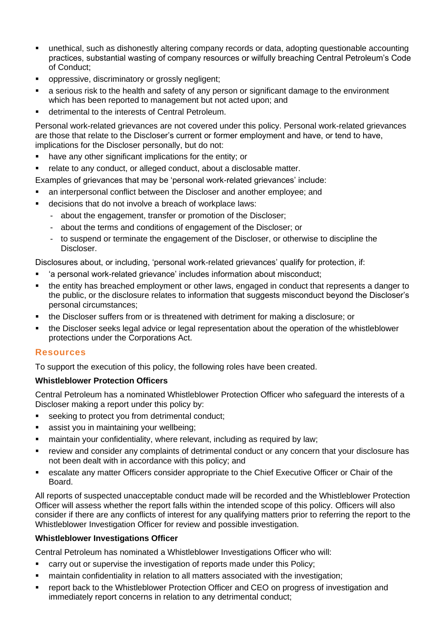- unethical, such as dishonestly altering company records or data, adopting questionable accounting practices, substantial wasting of company resources or wilfully breaching Central Petroleum's Code of Conduct;
- oppressive, discriminatory or grossly negligent;
- a serious risk to the health and safety of any person or significant damage to the environment which has been reported to management but not acted upon; and
- detrimental to the interests of Central Petroleum.

Personal work-related grievances are not covered under this policy. Personal work-related grievances are those that relate to the Discloser's current or former employment and have, or tend to have, implications for the Discloser personally, but do not:

- have any other significant implications for the entity; or
- relate to any conduct, or alleged conduct, about a disclosable matter.
- Examples of grievances that may be 'personal work-related grievances' include:
- an interpersonal conflict between the Discloser and another employee; and
- decisions that do not involve a breach of workplace laws:
	- about the engagement, transfer or promotion of the Discloser;
	- about the terms and conditions of engagement of the Discloser; or
	- to suspend or terminate the engagement of the Discloser, or otherwise to discipline the Discloser.

Disclosures about, or including, 'personal work-related grievances' qualify for protection, if:

- 'a personal work-related grievance' includes information about misconduct;
- the entity has breached employment or other laws, engaged in conduct that represents a danger to the public, or the disclosure relates to information that suggests misconduct beyond the Discloser's personal circumstances;
- the Discloser suffers from or is threatened with detriment for making a disclosure; or
- the Discloser seeks legal advice or legal representation about the operation of the whistleblower protections under the Corporations Act.

# **Resources**

To support the execution of this policy, the following roles have been created.

## **Whistleblower Protection Officers**

Central Petroleum has a nominated Whistleblower Protection Officer who safeguard the interests of a Discloser making a report under this policy by:

- seeking to protect you from detrimental conduct;
- **EXEC** assist you in maintaining your wellbeing;
- **E** maintain your confidentiality, where relevant, including as required by law;
- review and consider any complaints of detrimental conduct or any concern that your disclosure has not been dealt with in accordance with this policy; and
- escalate any matter Officers consider appropriate to the Chief Executive Officer or Chair of the Board.

All reports of suspected unacceptable conduct made will be recorded and the Whistleblower Protection Officer will assess whether the report falls within the intended scope of this policy. Officers will also consider if there are any conflicts of interest for any qualifying matters prior to referring the report to the Whistleblower Investigation Officer for review and possible investigation.

# **Whistleblower Investigations Officer**

Central Petroleum has nominated a Whistleblower Investigations Officer who will:

- carry out or supervise the investigation of reports made under this Policy;
- maintain confidentiality in relation to all matters associated with the investigation;
- report back to the Whistleblower Protection Officer and CEO on progress of investigation and immediately report concerns in relation to any detrimental conduct;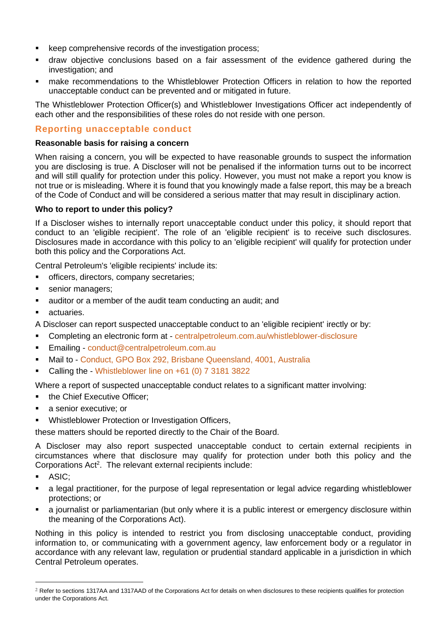- keep comprehensive records of the investigation process;
- draw objective conclusions based on a fair assessment of the evidence gathered during the investigation; and
- make recommendations to the Whistleblower Protection Officers in relation to how the reported unacceptable conduct can be prevented and or mitigated in future.

The Whistleblower Protection Officer(s) and Whistleblower Investigations Officer act independently of each other and the responsibilities of these roles do not reside with one person.

# **Reporting unacceptable conduct**

#### **Reasonable basis for raising a concern**

When raising a concern, you will be expected to have reasonable grounds to suspect the information you are disclosing is true. A Discloser will not be penalised if the information turns out to be incorrect and will still qualify for protection under this policy. However, you must not make a report you know is not true or is misleading. Where it is found that you knowingly made a false report, this may be a breach of the Code of Conduct and will be considered a serious matter that may result in disciplinary action.

#### **Who to report to under this policy?**

If a Discloser wishes to internally report unacceptable conduct under this policy, it should report that conduct to an 'eligible recipient'. The role of an 'eligible recipient' is to receive such disclosures. Disclosures made in accordance with this policy to an 'eligible recipient' will qualify for protection under both this policy and the Corporations Act.

Central Petroleum's 'eligible recipients' include its:

- officers, directors, company secretaries;
- senior managers;
- auditor or a member of the audit team conducting an audit; and
- actuaries.

A Discloser can report suspected unacceptable conduct to an 'eligible recipient' irectly or by:

- Completing an electronic form at <centralpetroleum.com.au/whistleblower-disclosure>
- Emailing conduct@centralpetroleum.com.au
- Mail to Conduct, GPO Box 292, Brisbane Queensland, 4001, Australia
- Calling the Whistleblower line on  $+61$  (0) 7 3181 3822

Where a report of suspected unacceptable conduct relates to a significant matter involving:

- the Chief Executive Officer:
- a senior executive; or
- Whistleblower Protection or Investigation Officers,

these matters should be reported directly to the Chair of the Board.

A Discloser may also report suspected unacceptable conduct to certain external recipients in circumstances where that disclosure may qualify for protection under both this policy and the Corporations Act<sup>2</sup>. The relevant external recipients include:

- ASIC:
- a legal practitioner, for the purpose of legal representation or legal advice regarding whistleblower protections; or
- a journalist or parliamentarian (but only where it is a public interest or emergency disclosure within the meaning of the Corporations Act).

Nothing in this policy is intended to restrict you from disclosing unacceptable conduct, providing information to, or communicating with a government agency, law enforcement body or a regulator in accordance with any relevant law, regulation or prudential standard applicable in a jurisdiction in which Central Petroleum operates.

<sup>&</sup>lt;sup>2</sup> Refer to sections 1317AA and 1317AAD of the Corporations Act for details on when disclosures to these recipients qualifies for protection under the Corporations Act.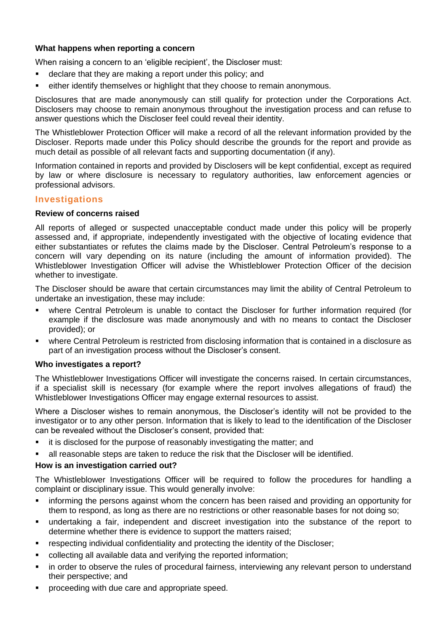# **What happens when reporting a concern**

When raising a concern to an 'eligible recipient', the Discloser must:

- declare that they are making a report under this policy; and
- either identify themselves or highlight that they choose to remain anonymous.

Disclosures that are made anonymously can still qualify for protection under the Corporations Act. Disclosers may choose to remain anonymous throughout the investigation process and can refuse to answer questions which the Discloser feel could reveal their identity.

The Whistleblower Protection Officer will make a record of all the relevant information provided by the Discloser. Reports made under this Policy should describe the grounds for the report and provide as much detail as possible of all relevant facts and supporting documentation (if any).

Information contained in reports and provided by Disclosers will be kept confidential, except as required by law or where disclosure is necessary to regulatory authorities, law enforcement agencies or professional advisors.

## **Investigations**

#### **Review of concerns raised**

All reports of alleged or suspected unacceptable conduct made under this policy will be properly assessed and, if appropriate, independently investigated with the objective of locating evidence that either substantiates or refutes the claims made by the Discloser. Central Petroleum's response to a concern will vary depending on its nature (including the amount of information provided). The Whistleblower Investigation Officer will advise the Whistleblower Protection Officer of the decision whether to investigate.

The Discloser should be aware that certain circumstances may limit the ability of Central Petroleum to undertake an investigation, these may include:

- where Central Petroleum is unable to contact the Discloser for further information required (for example if the disclosure was made anonymously and with no means to contact the Discloser provided); or
- where Central Petroleum is restricted from disclosing information that is contained in a disclosure as part of an investigation process without the Discloser's consent.

#### **Who investigates a report?**

The Whistleblower Investigations Officer will investigate the concerns raised. In certain circumstances, if a specialist skill is necessary (for example where the report involves allegations of fraud) the Whistleblower Investigations Officer may engage external resources to assist.

Where a Discloser wishes to remain anonymous, the Discloser's identity will not be provided to the investigator or to any other person. Information that is likely to lead to the identification of the Discloser can be revealed without the Discloser's consent, provided that:

- it is disclosed for the purpose of reasonably investigating the matter; and
- all reasonable steps are taken to reduce the risk that the Discloser will be identified.

## **How is an investigation carried out?**

The Whistleblower Investigations Officer will be required to follow the procedures for handling a complaint or disciplinary issue. This would generally involve:

- informing the persons against whom the concern has been raised and providing an opportunity for them to respond, as long as there are no restrictions or other reasonable bases for not doing so;
- undertaking a fair, independent and discreet investigation into the substance of the report to determine whether there is evidence to support the matters raised;
- respecting individual confidentiality and protecting the identity of the Discloser;
- collecting all available data and verifying the reported information;
- in order to observe the rules of procedural fairness, interviewing any relevant person to understand their perspective; and
- proceeding with due care and appropriate speed.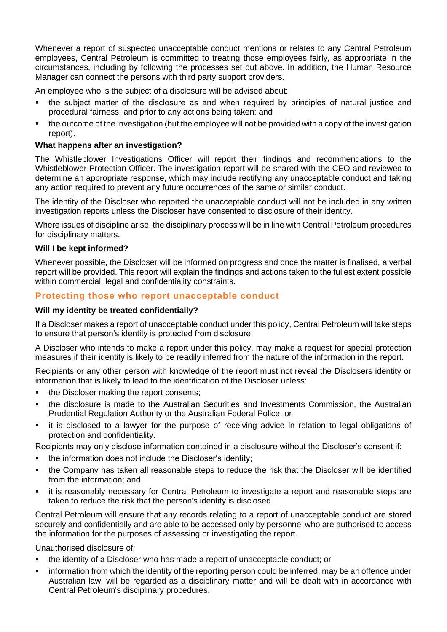Whenever a report of suspected unacceptable conduct mentions or relates to any Central Petroleum employees, Central Petroleum is committed to treating those employees fairly, as appropriate in the circumstances, including by following the processes set out above. In addition, the Human Resource Manager can connect the persons with third party support providers.

An employee who is the subject of a disclosure will be advised about:

- the subject matter of the disclosure as and when required by principles of natural justice and procedural fairness, and prior to any actions being taken; and
- the outcome of the investigation (but the employee will not be provided with a copy of the investigation report).

## **What happens after an investigation?**

The Whistleblower Investigations Officer will report their findings and recommendations to the Whistleblower Protection Officer. The investigation report will be shared with the CEO and reviewed to determine an appropriate response, which may include rectifying any unacceptable conduct and taking any action required to prevent any future occurrences of the same or similar conduct.

The identity of the Discloser who reported the unacceptable conduct will not be included in any written investigation reports unless the Discloser have consented to disclosure of their identity.

Where issues of discipline arise, the disciplinary process will be in line with Central Petroleum procedures for disciplinary matters.

#### **Will I be kept informed?**

Whenever possible, the Discloser will be informed on progress and once the matter is finalised, a verbal report will be provided. This report will explain the findings and actions taken to the fullest extent possible within commercial, legal and confidentiality constraints.

## **Protecting those who report unacceptable conduct**

#### **Will my identity be treated confidentially?**

If a Discloser makes a report of unacceptable conduct under this policy, Central Petroleum will take steps to ensure that person's identity is protected from disclosure.

A Discloser who intends to make a report under this policy, may make a request for special protection measures if their identity is likely to be readily inferred from the nature of the information in the report.

Recipients or any other person with knowledge of the report must not reveal the Disclosers identity or information that is likely to lead to the identification of the Discloser unless:

- the Discloser making the report consents;
- the disclosure is made to the Australian Securities and Investments Commission, the Australian Prudential Regulation Authority or the Australian Federal Police; or
- it is disclosed to a lawyer for the purpose of receiving advice in relation to legal obligations of protection and confidentiality.

Recipients may only disclose information contained in a disclosure without the Discloser's consent if:

- the information does not include the Discloser's identity;
- the Company has taken all reasonable steps to reduce the risk that the Discloser will be identified from the information; and
- it is reasonably necessary for Central Petroleum to investigate a report and reasonable steps are taken to reduce the risk that the person's identity is disclosed.

Central Petroleum will ensure that any records relating to a report of unacceptable conduct are stored securely and confidentially and are able to be accessed only by personnel who are authorised to access the information for the purposes of assessing or investigating the report.

Unauthorised disclosure of:

- the identity of a Discloser who has made a report of unacceptable conduct; or
- information from which the identity of the reporting person could be inferred, may be an offence under Australian law, will be regarded as a disciplinary matter and will be dealt with in accordance with Central Petroleum's disciplinary procedures.